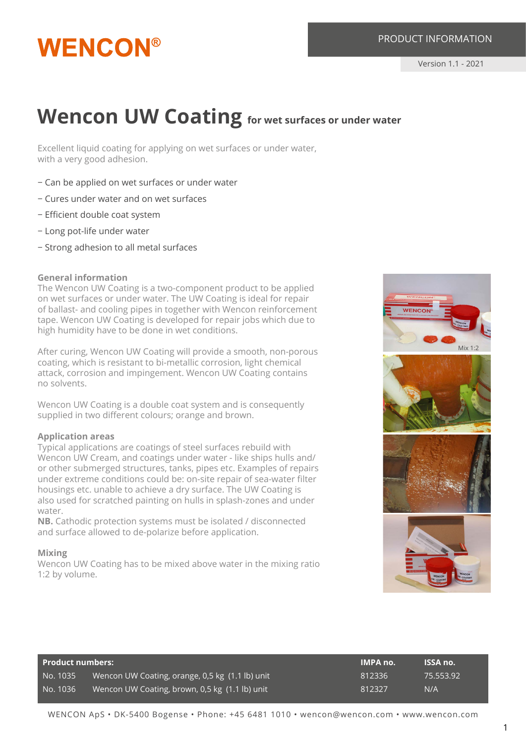## **WENCON®**

### **Wencon UW Coating** for wet surfaces or under water

Excellent liquid coating for applying on wet surfaces or under water, with a very good adhesion.

- − Can be applied on wet surfaces or under water
- − Cures under water and on wet surfaces
- − Efficient double coat system
- − Long pot-life under water
- − Strong adhesion to all metal surfaces

#### **General information**

The Wencon UW Coating is a two-component product to be applied on wet surfaces or under water. The UW Coating is ideal for repair of ballast- and cooling pipes in together with Wencon reinforcement tape. Wencon UW Coating is developed for repair jobs which due to high humidity have to be done in wet conditions.

After curing, Wencon UW Coating will provide a smooth, non-porous coating, which is resistant to bi-metallic corrosion, light chemical attack, corrosion and impingement. Wencon UW Coating contains no solvents.

Wencon UW Coating is a double coat system and is consequently supplied in two different colours; orange and brown.

#### **Application areas**

Typical applications are coatings of steel surfaces rebuild with Wencon UW Cream, and coatings under water - like ships hulls and/ or other submerged structures, tanks, pipes etc. Examples of repairs under extreme conditions could be: on-site repair of sea-water filter housings etc. unable to achieve a dry surface. The UW Coating is also used for scratched painting on hulls in splash-zones and under water.

**NB.** Cathodic protection systems must be isolated / disconnected and surface allowed to de-polarize before application.

#### **Mixing**

Wencon UW Coating has to be mixed above water in the mixing ratio 1:2 by volume.



| Product numbers: \ |                                                 | <b>IMPA</b> no. | ISSA no.  |
|--------------------|-------------------------------------------------|-----------------|-----------|
| No. 1035           | Wencon UW Coating, orange, 0,5 kg (1.1 lb) unit | 812336          | 75.553.92 |
| No. 1036           | Wencon UW Coating, brown, 0,5 kg (1.1 lb) unit  | 812327          | N/A       |